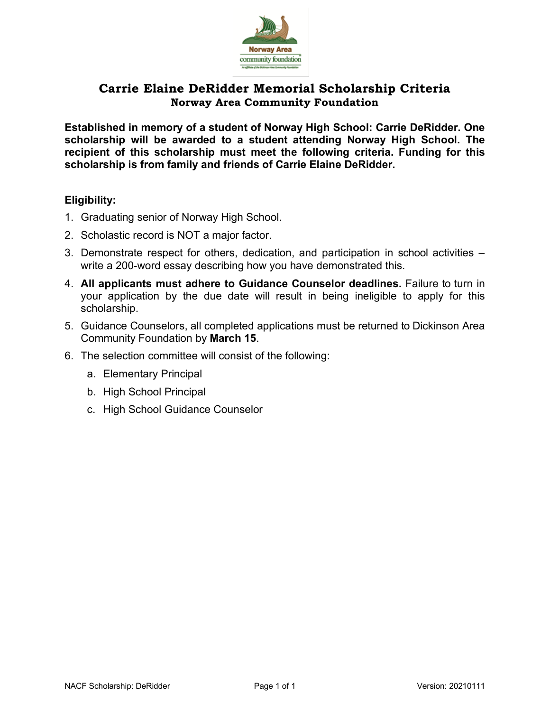

# **Carrie Elaine DeRidder Memorial Scholarship Criteria Norway Area Community Foundation**

**Established in memory of a student of Norway High School: Carrie DeRidder. One scholarship will be awarded to a student attending Norway High School. The recipient of this scholarship must meet the following criteria. Funding for this scholarship is from family and friends of Carrie Elaine DeRidder.**

## **Eligibility:**

- 1. Graduating senior of Norway High School.
- 2. Scholastic record is NOT a major factor.
- 3. Demonstrate respect for others, dedication, and participation in school activities write a 200-word essay describing how you have demonstrated this.
- 4. **All applicants must adhere to Guidance Counselor deadlines.** Failure to turn in your application by the due date will result in being ineligible to apply for this scholarship.
- 5. Guidance Counselors, all completed applications must be returned to Dickinson Area Community Foundation by **March 15**.
- 6. The selection committee will consist of the following:
	- a. Elementary Principal
	- b. High School Principal
	- c. High School Guidance Counselor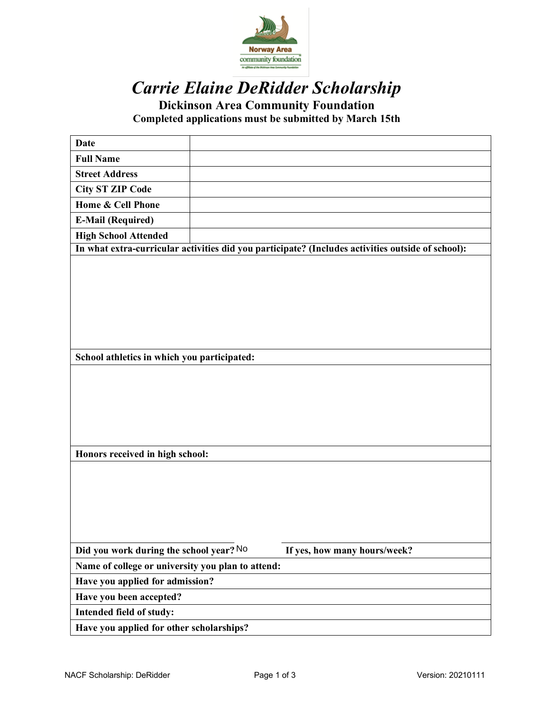

# *Carrie Elaine DeRidder Scholarship*

**Dickinson Area Community Foundation Completed applications must be submitted by March 15th**

| <b>Date</b>                                                                                       |  |                              |  |
|---------------------------------------------------------------------------------------------------|--|------------------------------|--|
| <b>Full Name</b>                                                                                  |  |                              |  |
| <b>Street Address</b>                                                                             |  |                              |  |
| <b>City ST ZIP Code</b>                                                                           |  |                              |  |
| Home & Cell Phone                                                                                 |  |                              |  |
| <b>E-Mail (Required)</b>                                                                          |  |                              |  |
| <b>High School Attended</b>                                                                       |  |                              |  |
| In what extra-curricular activities did you participate? (Includes activities outside of school): |  |                              |  |
|                                                                                                   |  |                              |  |
|                                                                                                   |  |                              |  |
|                                                                                                   |  |                              |  |
|                                                                                                   |  |                              |  |
|                                                                                                   |  |                              |  |
|                                                                                                   |  |                              |  |
| School athletics in which you participated:                                                       |  |                              |  |
|                                                                                                   |  |                              |  |
|                                                                                                   |  |                              |  |
|                                                                                                   |  |                              |  |
|                                                                                                   |  |                              |  |
|                                                                                                   |  |                              |  |
|                                                                                                   |  |                              |  |
| Honors received in high school:                                                                   |  |                              |  |
|                                                                                                   |  |                              |  |
|                                                                                                   |  |                              |  |
|                                                                                                   |  |                              |  |
|                                                                                                   |  |                              |  |
|                                                                                                   |  |                              |  |
|                                                                                                   |  |                              |  |
| Did you work during the school year? No                                                           |  | If yes, how many hours/week? |  |
| Name of college or university you plan to attend:                                                 |  |                              |  |
| Have you applied for admission?                                                                   |  |                              |  |
| Have you been accepted?                                                                           |  |                              |  |
| Intended field of study:                                                                          |  |                              |  |
| Have you applied for other scholarships?                                                          |  |                              |  |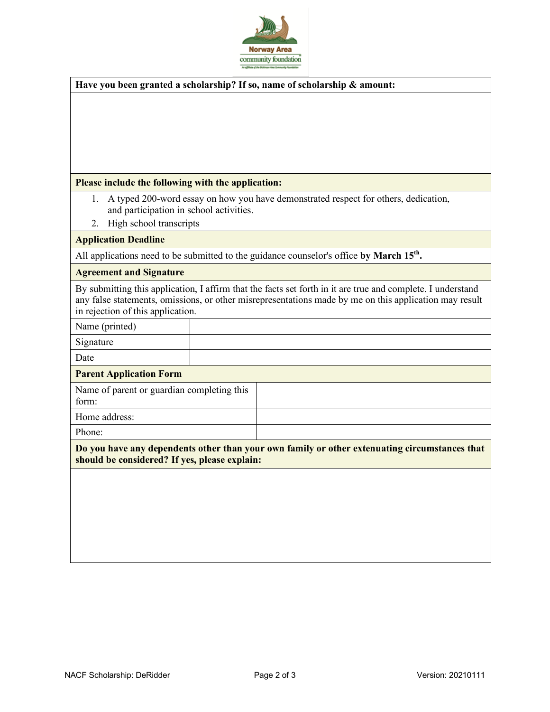

## **Have you been granted a scholarship? If so, name of scholarship & amount:**

#### **Please include the following with the application:**

- 1. A typed 200-word essay on how you have demonstrated respect for others, dedication, and participation in school activities.
- 2. High school transcripts

#### **Application Deadline**

All applications need to be submitted to the guidance counselor's office by March 15<sup>th</sup>.

#### **Agreement and Signature**

By submitting this application, I affirm that the facts set forth in it are true and complete. I understand any false statements, omissions, or other misrepresentations made by me on this application may result in rejection of this application.

Name (printed)

Signature

Date

#### **Parent Application Form**

| Name of parent or guardian completing this<br>form: |  |
|-----------------------------------------------------|--|
| Home address:                                       |  |
| Phone:                                              |  |

**Do you have any dependents other than your own family or other extenuating circumstances that should be considered? If yes, please explain:**